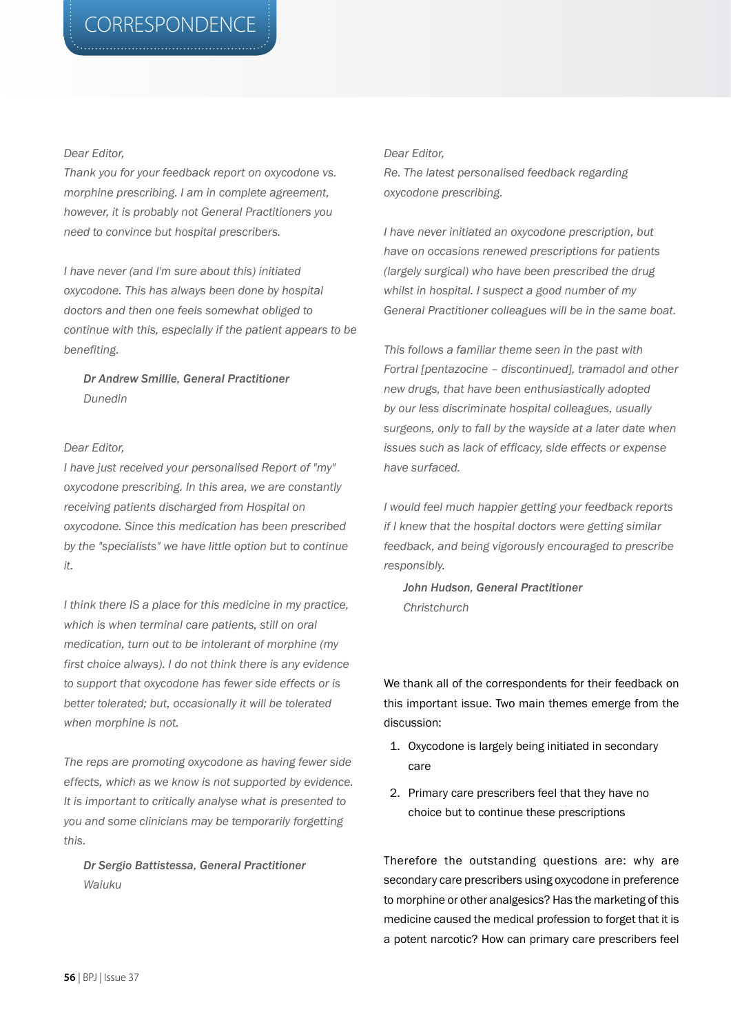## *Dear Editor,*

*Thank you for your feedback report on oxycodone vs. morphine prescribing. I am in complete agreement, however, it is probably not General Practitioners you need to convince but hospital prescribers.* 

*I have never (and I'm sure about this) initiated oxycodone. This has always been done by hospital doctors and then one feels somewhat obliged to continue with this, especially if the patient appears to be benefiting.*

*Dr Andrew Smillie, General Practitioner Dunedin*

## *Dear Editor,*

*I have just received your personalised Report of "my" oxycodone prescribing. In this area, we are constantly receiving patients discharged from Hospital on oxycodone. Since this medication has been prescribed by the "specialists" we have little option but to continue it.*

*I think there IS a place for this medicine in my practice, which is when terminal care patients, still on oral medication, turn out to be intolerant of morphine (my first choice always). I do not think there is any evidence to support that oxycodone has fewer side effects or is better tolerated; but, occasionally it will be tolerated when morphine is not.*

*The reps are promoting oxycodone as having fewer side effects, which as we know is not supported by evidence. It is important to critically analyse what is presented to you and some clinicians may be temporarily forgetting this.*

*Dr Sergio Battistessa, General Practitioner Waiuku*

## *Dear Editor,*

*Re. The latest personalised feedback regarding oxycodone prescribing.* 

*I have never initiated an oxycodone prescription, but have on occasions renewed prescriptions for patients (largely surgical) who have been prescribed the drug whilst in hospital. I suspect a good number of my General Practitioner colleagues will be in the same boat.*

*This follows a familiar theme seen in the past with Fortral [pentazocine – discontinued], tramadol and other new drugs, that have been enthusiastically adopted by our less discriminate hospital colleagues, usually surgeons, only to fall by the wayside at a later date when issues such as lack of efficacy, side effects or expense have surfaced.* 

*I would feel much happier getting your feedback reports if I knew that the hospital doctors were getting similar feedback, and being vigorously encouraged to prescribe responsibly.* 

*John Hudson, General Practitioner Christchurch*

We thank all of the correspondents for their feedback on this important issue. Two main themes emerge from the discussion:

- 1. Oxycodone is largely being initiated in secondary care
- 2. Primary care prescribers feel that they have no choice but to continue these prescriptions

Therefore the outstanding questions are: why are secondary care prescribers using oxycodone in preference to morphine or other analgesics? Has the marketing of this medicine caused the medical profession to forget that it is a potent narcotic? How can primary care prescribers feel